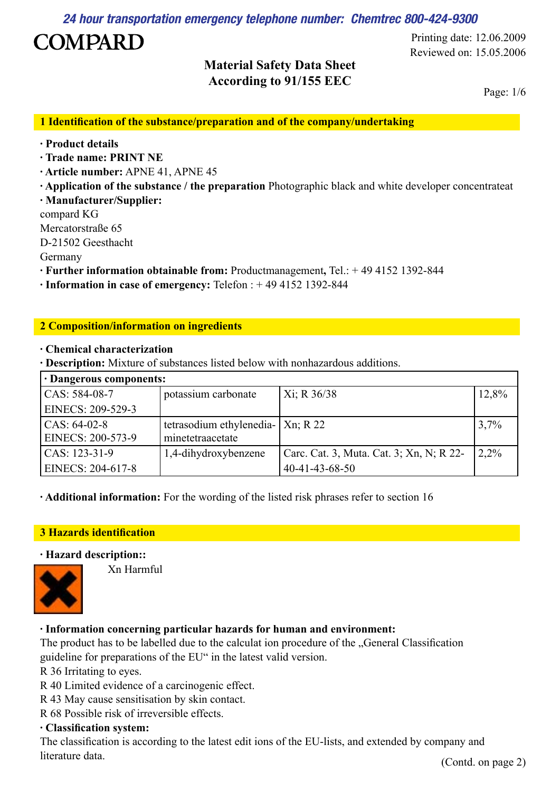**24 hour transportation emergency telephone number: Chemtrec 800-424-9300** 

# **COMPARD**

### **Material Safety Data Sheet According to 91/155 EEC**

Reviewed on: 15.05.2006 Printing date: 12.06.2009

Page: 1/6

**1 Identification of the substance/preparation and of the company/undertaking**

- **· Product details**
- **· Trade name: PRINT NE**
- **· Article number:** APNE 41, APNE 45
- **· Application of the substance / the preparation** Photographic black and white developer concentrateat **· Manufacturer/Supplier:**
- compard KG
- Mercatorstraße 65
- D-21502 Geesthacht
- Germany
- **· Further information obtainable from:** Productmanagement**,** Tel.: + 49 4152 1392-844
- **· Information in case of emergency:** Telefon : + 49 4152 1392-844

#### **2 Composition/information on ingredients**

#### **· Chemical characterization**

**· Description:** Mixture of substances listed below with nonhazardous additions.

| · Dangerous components: |                                     |                                          |         |
|-------------------------|-------------------------------------|------------------------------------------|---------|
| CAS: 584-08-7           | potassium carbonate                 | Xi; R 36/38                              | 12,8%   |
| EINECS: 209-529-3       |                                     |                                          |         |
| $CAS: 64-02-8$          | tetrasodium ethylenedia-   Xn; R 22 |                                          | 3,7%    |
| EINECS: 200-573-9       | minetetraacetate                    |                                          |         |
| $CAS: 123-31-9$         | 1,4-dihydroxybenzene                | Carc. Cat. 3, Muta. Cat. 3; Xn, N; R 22- | $2.2\%$ |
| EINECS: 204-617-8       |                                     | $40 - 41 - 43 - 68 - 50$                 |         |

**· Additional information:** For the wording of the listed risk phrases refer to section 16

### **3 Hazards identification**

#### **· Hazard description::**



Xn Harmful

### **· Information concerning particular hazards for human and environment:**

The product has to be labelled due to the calculat ion procedure of the "General Classification guideline for preparations of the EU" in the latest valid version.

R 36 Irritating to eyes.

- R 40 Limited evidence of a carcinogenic effect.
- R 43 May cause sensitisation by skin contact.

R 68 Possible risk of irreversible effects.

#### **· Classification system:**

The classification is according to the latest edit ions of the EU-lists, and extended by company and literature data. (Contd. on page 2)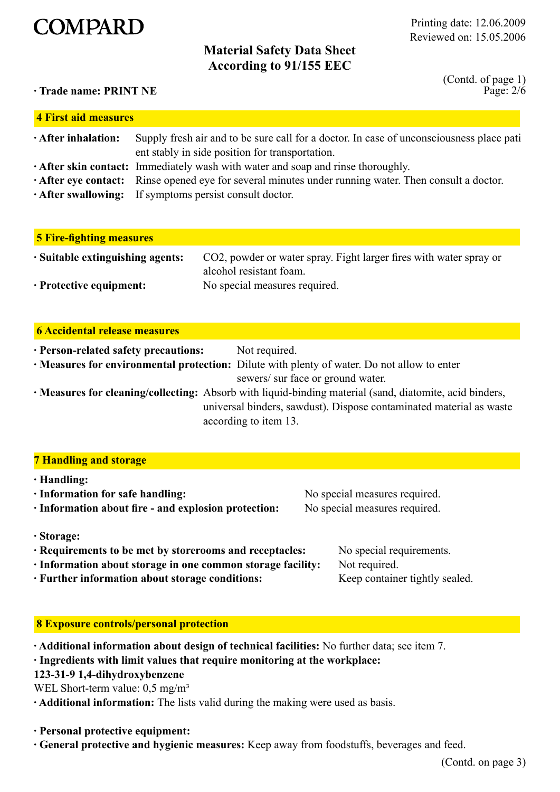

#### Reviewed on: 15.05.2006 Printing date: 12.06.2009

### **Material Safety Data Sheet According to 91/155 EEC**

**· Trade name: PRINT NE**

Page: 2/6 (Contd. of page 1)

| 4 First aid measures      |                                                                                                                                                                  |  |  |
|---------------------------|------------------------------------------------------------------------------------------------------------------------------------------------------------------|--|--|
| $\cdot$ After inhalation: | Supply fresh air and to be sure call for a doctor. In case of unconsciousness place pati<br>ent stably in side position for transportation.                      |  |  |
|                           | · After skin contact: Immediately wash with water and soap and rinse thoroughly.                                                                                 |  |  |
|                           | • After eye contact: Rinse opened eye for several minutes under running water. Then consult a doctor.<br>• After swallowing: If symptoms persist consult doctor. |  |  |

| 5 Fire-fighting measures               |                                                                                               |
|----------------------------------------|-----------------------------------------------------------------------------------------------|
| $\cdot$ Suitable extinguishing agents: | CO2, powder or water spray. Fight larger fires with water spray or<br>alcohol resistant foam. |
| $\cdot$ Protective equipment:          | No special measures required.                                                                 |

| <b>6 Accidental release measures</b> |
|--------------------------------------|
|                                      |

| · Person-related safety precautions:                                                                    | Not required.                                                                               |
|---------------------------------------------------------------------------------------------------------|---------------------------------------------------------------------------------------------|
|                                                                                                         | • Measures for environmental protection: Dilute with plenty of water. Do not allow to enter |
|                                                                                                         | sewers/ sur face or ground water.                                                           |
| . Measures for cleaning/collecting: Absorb with liquid-binding material (sand, diatomite, acid binders, |                                                                                             |
| universal binders, sawdust). Dispose contaminated material as waste                                     |                                                                                             |
|                                                                                                         | according to item 13.                                                                       |

#### **7 Handling and storage**

**· Handling:**

| . папошле:                                              |                               |
|---------------------------------------------------------|-------------------------------|
| $\cdot$ Information for safe handling:                  | No special measures required. |
| · Information about fire - and explosion protection:    | No special measures required. |
|                                                         |                               |
| · Storage:                                              |                               |
| · Requirements to be met by storerooms and receptacles: | No special requirements.      |

**· Information about storage in one common storage facility:** Not required.

**· Further information about storage conditions:** Keep container tightly sealed.

#### **8 Exposure controls/personal protection**

**· Additional information about design of technical facilities:** No further data; see item 7.

#### **· Ingredients with limit values that require monitoring at the workplace:**

**123-31-9 1,4-dihydroxybenzene**

WEL Short-term value:  $0.5 \text{ mg/m}^3$ 

**· Additional information:** The lists valid during the making were used as basis.

- **· Personal protective equipment:**
- **· General protective and hygienic measures:** Keep away from foodstuffs, beverages and feed.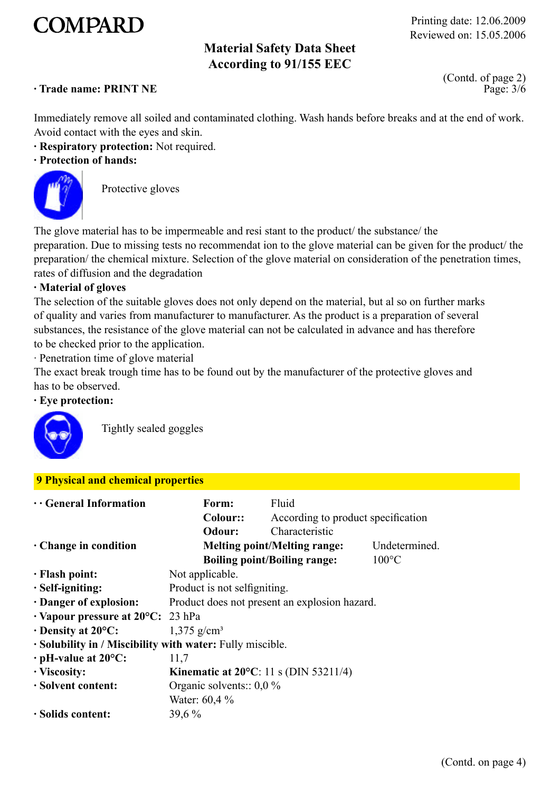# **COMPARD**

Reviewed on: 15.05.2006 Printing date: 12.06.2009

# **Material Safety Data Sheet According to 91/155 EEC**

#### **· Trade name: PRINT NE**

Page: 3/6 (Contd. of page 2)

Immediately remove all soiled and contaminated clothing. Wash hands before breaks and at the end of work. Avoid contact with the eyes and skin.

**· Respiratory protection:** Not required.

#### **· Protection of hands:**



Protective gloves

The glove material has to be impermeable and resi stant to the product/ the substance/ the preparation. Due to missing tests no recommendat ion to the glove material can be given for the product/ the preparation/ the chemical mixture. Selection of the glove material on consideration of the penetration times, rates of diffusion and the degradation

#### **· Material of gloves**

The selection of the suitable gloves does not only depend on the material, but al so on further marks of quality and varies from manufacturer to manufacturer. As the product is a preparation of several substances, the resistance of the glove material can not be calculated in advance and has therefore to be checked prior to the application.

· Penetration time of glove material

The exact break trough time has to be found out by the manufacturer of the protective gloves and has to be observed.

#### **· Eye protection:**



Tightly sealed goggles

#### **9 Physical and chemical properties**

| $\cdots$ General Information                              | Form:                                           | Fluid                               |                 |
|-----------------------------------------------------------|-------------------------------------------------|-------------------------------------|-----------------|
|                                                           | Colour::                                        | According to product specification  |                 |
|                                                           | Odour:                                          | Characteristic                      |                 |
| $\cdot$ Change in condition                               |                                                 | <b>Melting point/Melting range:</b> | Undetermined.   |
|                                                           |                                                 | <b>Boiling point/Boiling range:</b> | $100^{\circ}$ C |
| · Flash point:                                            | Not applicable.                                 |                                     |                 |
| · Self-igniting:                                          | Product is not selfigniting.                    |                                     |                 |
| Danger of explosion:                                      | Product does not present an explosion hazard.   |                                     |                 |
| $\cdot$ Vapour pressure at 20 $\degree$ C: 23 hPa         |                                                 |                                     |                 |
| $\cdot$ Density at 20 $\mathrm{^{\circ}C:}$               | $1,375$ g/cm <sup>3</sup>                       |                                     |                 |
| · Solubility in / Miscibility with water: Fully miscible. |                                                 |                                     |                 |
| $\cdot$ pH-value at 20 $\rm ^{o}C$ :                      | 11,7                                            |                                     |                 |
| · Viscosity:                                              | Kinematic at $20^{\circ}$ C: 11 s (DIN 53211/4) |                                     |                 |
| · Solvent content:                                        | Organic solvents:: $0.0\%$                      |                                     |                 |
|                                                           | Water: 60,4 %                                   |                                     |                 |
| · Solids content:                                         | 39,6 %                                          |                                     |                 |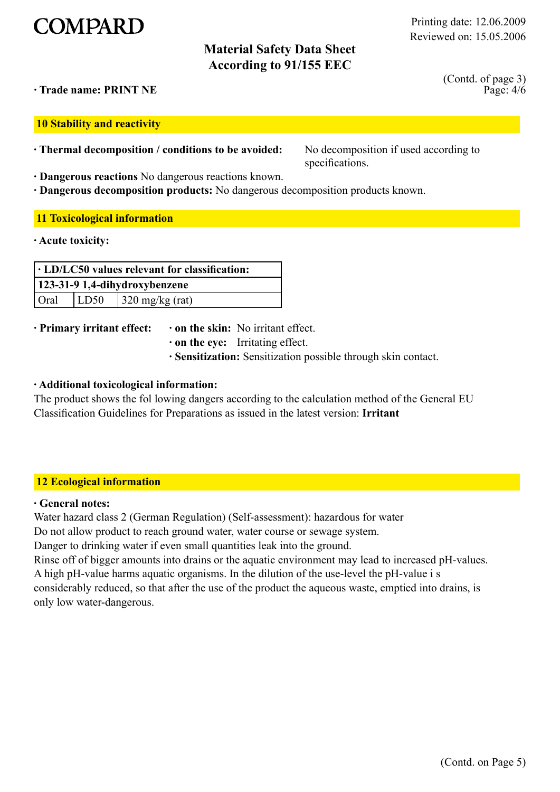

# **Material Safety Data Sheet According to 91/155 EEC**

Page: 4/6 (Contd. of page 3)

**· Trade name: PRINT NE**

**10 Stability and reactivity**

**· Thermal decomposition / conditions to be avoided:** No decomposition if used according to

**· Dangerous reactions** No dangerous reactions known.

specifications.

**· Dangerous decomposition products:** No dangerous decomposition products known.

#### **11 Toxicological information**

**· Acute toxicity:**

| $\cdot$ LD/LC50 values relevant for classification: |  |  |
|-----------------------------------------------------|--|--|
| 123-31-9 1,4-dihydroxybenzene                       |  |  |
| $\vert$ LD50 $\vert$ 320 mg/kg (rat)<br>' Oral      |  |  |

**· Primary irritant effect: · on the skin:** No irritant effect.

- 
- **· on the eye:** Irritating effect.
- **· Sensitization:** Sensitization possible through skin contact.

#### **· Additional toxicological information:**

The product shows the fol lowing dangers according to the calculation method of the General EU Classification Guidelines for Preparations as issued in the latest version: **Irritant**

#### **12 Ecological information**

#### **· General notes:**

Water hazard class 2 (German Regulation) (Self-assessment): hazardous for water

Do not allow product to reach ground water, water course or sewage system.

Danger to drinking water if even small quantities leak into the ground.

Rinse off of bigger amounts into drains or the aquatic environment may lead to increased pH-values. A high pH-value harms aquatic organisms. In the dilution of the use-level the pH-value i s considerably reduced, so that after the use of the product the aqueous waste, emptied into drains, is only low water-dangerous.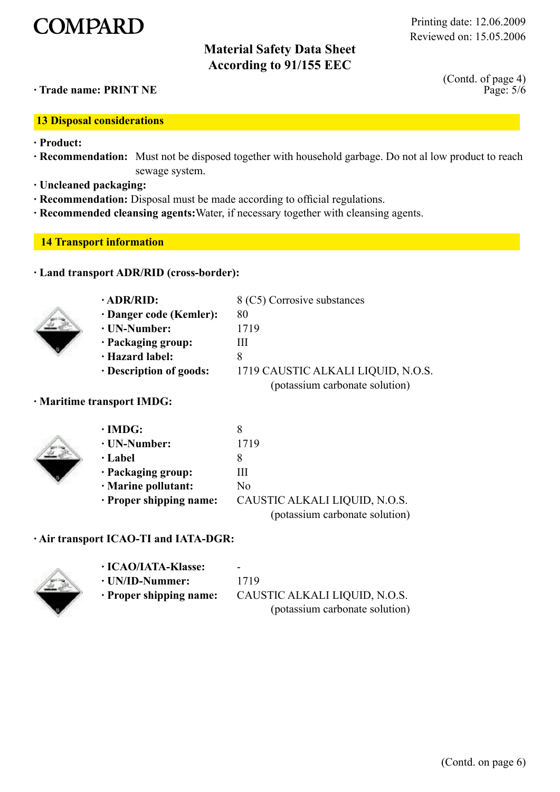# **COMPARD**

# **Material Safety Data Sheet According to 91/155 EEC**

#### **· Trade name: PRINT NE**

**13 Disposal considerations**

- **· Product:**
- **· Recommendation:** Must not be disposed together with household garbage. Do not al low product to reach sewage system.
- **· Uncleaned packaging:**
- **· Recommendation:** Disposal must be made according to official regulations.
- **· Recommended cleansing agents:**Water, if necessary together with cleansing agents.

#### **14 Transport information**

#### **· Land transport ADR/RID (cross-border):**



| $\cdot$ ADR/RID:              | 8 (C5) Corrosive substances        |
|-------------------------------|------------------------------------|
| $\cdot$ Danger code (Kemler): | 80                                 |
| $\cdot$ UN-Number:            | 1719                               |
| · Packaging group:            | Ш                                  |
| · Hazard label:               |                                    |
| · Description of goods:       | 1719 CAUSTIC ALKALI LIQUID, N.O.S. |
|                               | (potassium carbonate solution)     |

#### **· Maritime transport IMDG:**

| $\cdot$ IMDG:                 |                                |
|-------------------------------|--------------------------------|
| · UN-Number:                  | 1719                           |
| · Label                       |                                |
| · Packaging group:            | Ш                              |
| · Marine pollutant:           | No                             |
| $\cdot$ Proper shipping name: | CAUSTIC ALKALI LIQUID, N.O.S.  |
|                               | (potassium carbonate solution) |

#### **· Air transport ICAO-TI and IATA-DGR:**



**· ICAO/IATA-Klasse:** - **· UN/ID-Nummer:** 1719 **· Proper shipping name:** CAUSTIC ALKALI LIQUID, N.O.S. (potassium carbonate solution)

Page: 5/6 (Contd. of page 4)